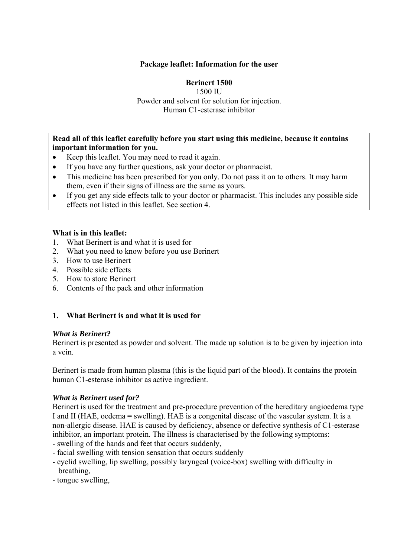## **Package leaflet: Information for the user**

## **Berinert 1500**

1500 IU Powder and solvent for solution for injection. Human C1-esterase inhibitor

## **Read all of this leaflet carefully before you start using this medicine, because it contains important information for you.**

- Keep this leaflet. You may need to read it again.
- If you have any further questions, ask your doctor or pharmacist.
- This medicine has been prescribed for you only. Do not pass it on to others. It may harm them, even if their signs of illness are the same as yours.
- If you get any side effects talk to your doctor or pharmacist. This includes any possible side effects not listed in this leaflet. See section 4.

#### **What is in this leaflet:**

- 1. What Berinert is and what it is used for
- 2. What you need to know before you use Berinert
- 3. How to use Berinert
- 4. Possible side effects
- 5. How to store Berinert
- 6. Contents of the pack and other information

## **1. What Berinert is and what it is used for**

#### *What is Berinert?*

Berinert is presented as powder and solvent. The made up solution is to be given by injection into a vein.

Berinert is made from human plasma (this is the liquid part of the blood). It contains the protein human C1-esterase inhibitor as active ingredient.

#### *What is Berinert used for?*

Berinert is used for the treatment and pre-procedure prevention of the hereditary angioedema type I and II (HAE, oedema = swelling). HAE is a congenital disease of the vascular system. It is a non-allergic disease. HAE is caused by deficiency, absence or defective synthesis of C1-esterase inhibitor, an important protein. The illness is characterised by the following symptoms:

- swelling of the hands and feet that occurs suddenly,
- facial swelling with tension sensation that occurs suddenly
- eyelid swelling, lip swelling, possibly laryngeal (voice-box) swelling with difficulty in breathing,
- tongue swelling,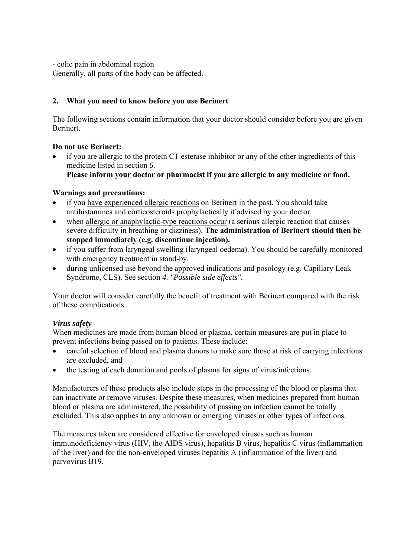- colic pain in abdominal region

Generally, all parts of the body can be affected.

# **2. What you need to know before you use Berinert**

The following sections contain information that your doctor should consider before you are given Berinert.

## **Do not use Berinert:**

 if you are allergic to the protein C1-esterase inhibitor or any of the other ingredients of this medicine listed in section *6.*  **Please inform your doctor or pharmacist if you are allergic to any medicine or food.**

## **Warnings and precautions:**

- if you have experienced allergic reactions on Berinert in the past. You should take antihistamines and corticosteroids prophylactically if advised by your doctor.
- when allergic or anaphylactic-type reactions occur (a serious allergic reaction that causes severe difficulty in breathing or dizziness). **The administration of Berinert should then be stopped immediately (e.g. discontinue injection).**
- if you suffer from laryngeal swelling (laryngeal oedema). You should be carefully monitored with emergency treatment in stand-by.
- during unlicensed use beyond the approved indications and posology (e.g. Capillary Leak Syndrome, CLS). See section *4. "Possible side effects"*.

Your doctor will consider carefully the benefit of treatment with Berinert compared with the risk of these complications.

# *Virus safety*

When medicines are made from human blood or plasma, certain measures are put in place to prevent infections being passed on to patients. These include:

- careful selection of blood and plasma donors to make sure those at risk of carrying infections are excluded, and
- the testing of each donation and pools of plasma for signs of virus/infections.

Manufacturers of these products also include steps in the processing of the blood or plasma that can inactivate or remove viruses. Despite these measures, when medicines prepared from human blood or plasma are administered, the possibility of passing on infection cannot be totally excluded. This also applies to any unknown or emerging viruses or other types of infections.

The measures taken are considered effective for enveloped viruses such as human immunodeficiency virus (HIV, the AIDS virus), hepatitis B virus, hepatitis C virus (inflammation of the liver) and for the non-enveloped viruses hepatitis A (inflammation of the liver) and parvovirus B19.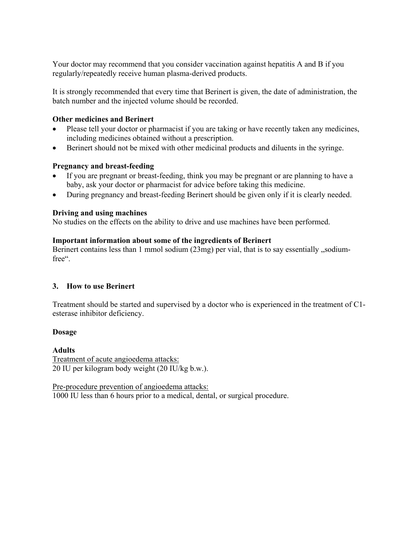Your doctor may recommend that you consider vaccination against hepatitis A and B if you regularly/repeatedly receive human plasma-derived products.

It is strongly recommended that every time that Berinert is given, the date of administration, the batch number and the injected volume should be recorded.

## **Other medicines and Berinert**

- Please tell your doctor or pharmacist if you are taking or have recently taken any medicines, including medicines obtained without a prescription.
- Berinert should not be mixed with other medicinal products and diluents in the syringe.

## **Pregnancy and breast-feeding**

- If you are pregnant or breast-feeding, think you may be pregnant or are planning to have a baby, ask your doctor or pharmacist for advice before taking this medicine.
- During pregnancy and breast-feeding Berinert should be given only if it is clearly needed.

## **Driving and using machines**

No studies on the effects on the ability to drive and use machines have been performed.

#### **Important information about some of the ingredients of Berinert**

Berinert contains less than  $1 \text{ mmol}$  sodium  $(23 \text{ mg})$  per vial, that is to say essentially  $\text{m}$ , sodiumfree".

#### **3. How to use Berinert**

Treatment should be started and supervised by a doctor who is experienced in the treatment of C1 esterase inhibitor deficiency.

#### **Dosage**

**Adults**  Treatment of acute angioedema attacks: 20 IU per kilogram body weight (20 IU/kg b.w.).

Pre-procedure prevention of angioedema attacks: 1000 IU less than 6 hours prior to a medical, dental, or surgical procedure.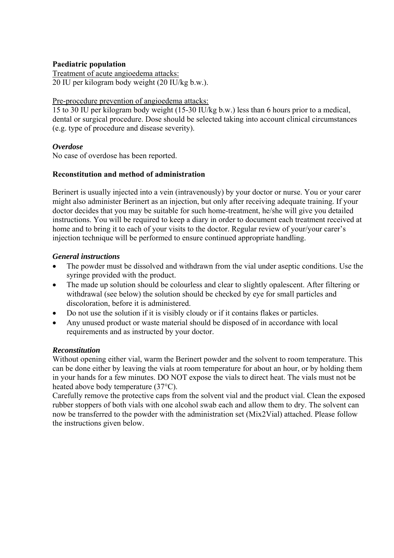#### **Paediatric population**

Treatment of acute angioedema attacks: 20 IU per kilogram body weight (20 IU/kg b.w.).

#### Pre-procedure prevention of angioedema attacks:

15 to 30 IU per kilogram body weight (15-30 IU/kg b.w.) less than 6 hours prior to a medical, dental or surgical procedure. Dose should be selected taking into account clinical circumstances (e.g. type of procedure and disease severity).

## *Overdose*

No case of overdose has been reported.

## **Reconstitution and method of administration**

Berinert is usually injected into a vein (intravenously) by your doctor or nurse. You or your carer might also administer Berinert as an injection, but only after receiving adequate training. If your doctor decides that you may be suitable for such home-treatment, he/she will give you detailed instructions. You will be required to keep a diary in order to document each treatment received at home and to bring it to each of your visits to the doctor. Regular review of your/your carer's injection technique will be performed to ensure continued appropriate handling.

## *General instructions*

- The powder must be dissolved and withdrawn from the vial under aseptic conditions. Use the syringe provided with the product.
- The made up solution should be colourless and clear to slightly opalescent. After filtering or withdrawal (see below) the solution should be checked by eye for small particles and discoloration, before it is administered.
- Do not use the solution if it is visibly cloudy or if it contains flakes or particles.
- Any unused product or waste material should be disposed of in accordance with local requirements and as instructed by your doctor.

## *Reconstitution*

Without opening either vial, warm the Berinert powder and the solvent to room temperature. This can be done either by leaving the vials at room temperature for about an hour, or by holding them in your hands for a few minutes. DO NOT expose the vials to direct heat. The vials must not be heated above body temperature (37°C).

Carefully remove the protective caps from the solvent vial and the product vial. Clean the exposed rubber stoppers of both vials with one alcohol swab each and allow them to dry. The solvent can now be transferred to the powder with the administration set (Mix2Vial) attached. Please follow the instructions given below.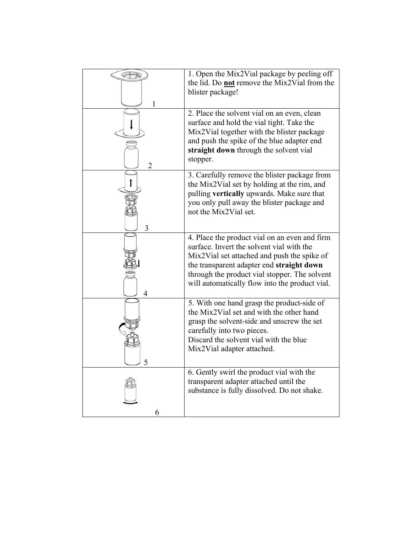|                | 1. Open the Mix2Vial package by peeling off<br>the lid. Do <b>not</b> remove the Mix2Vial from the<br>blister package!                                                                                                                                                                    |
|----------------|-------------------------------------------------------------------------------------------------------------------------------------------------------------------------------------------------------------------------------------------------------------------------------------------|
| $\overline{2}$ | 2. Place the solvent vial on an even, clean<br>surface and hold the vial tight. Take the<br>Mix2Vial together with the blister package<br>and push the spike of the blue adapter end<br>straight down through the solvent vial<br>stopper.                                                |
| 3              | 3. Carefully remove the blister package from<br>the Mix2Vial set by holding at the rim, and<br>pulling vertically upwards. Make sure that<br>you only pull away the blister package and<br>not the Mix2Vial set.                                                                          |
| 4              | 4. Place the product vial on an even and firm<br>surface. Invert the solvent vial with the<br>Mix2Vial set attached and push the spike of<br>the transparent adapter end straight down<br>through the product vial stopper. The solvent<br>will automatically flow into the product vial. |
|                | 5. With one hand grasp the product-side of<br>the Mix2Vial set and with the other hand<br>grasp the solvent-side and unscrew the set<br>carefully into two pieces.<br>Discard the solvent vial with the blue<br>Mix2Vial adapter attached.                                                |
| 6              | 6. Gently swirl the product vial with the<br>transparent adapter attached until the<br>substance is fully dissolved. Do not shake.                                                                                                                                                        |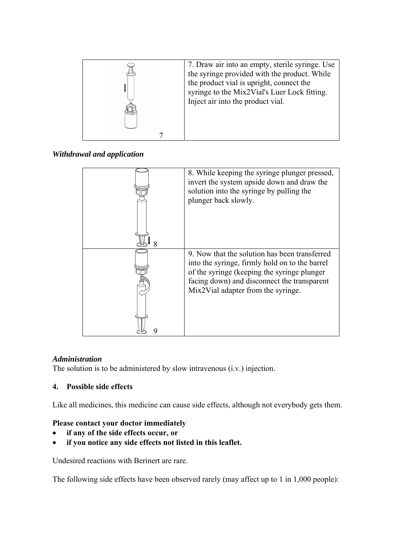

*Withdrawal and application* 

| 8. While keeping the syringe plunger pressed,<br>invert the system upside down and draw the<br>solution into the syringe by pulling the<br>plunger back slowly.                                                                     |
|-------------------------------------------------------------------------------------------------------------------------------------------------------------------------------------------------------------------------------------|
| 9. Now that the solution has been transferred<br>into the syringe, firmly hold on to the barrel<br>of the syringe (keeping the syringe plunger<br>facing down) and disconnect the transparent<br>Mix2Vial adapter from the syringe. |

## *Administration*

The solution is to be administered by slow intravenous (i.v.) injection.

# **4. Possible side effects**

Like all medicines, this medicine can cause side effects, although not everybody gets them.

## **Please contact your doctor immediately**

- **if any of the side effects occur, or**
- **if you notice any side effects not listed in this leaflet.**

Undesired reactions with Berinert are rare.

The following side effects have been observed rarely (may affect up to 1 in 1,000 people):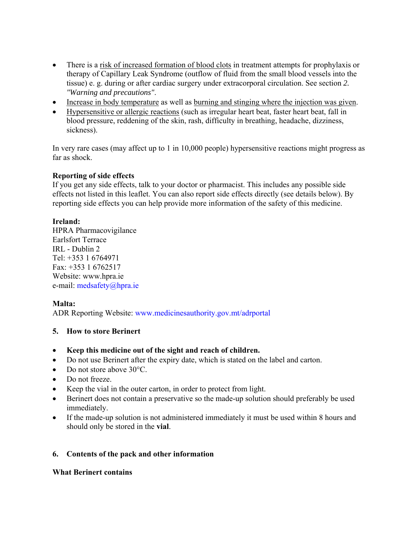- There is a risk of increased formation of blood clots in treatment attempts for prophylaxis or therapy of Capillary Leak Syndrome (outflow of fluid from the small blood vessels into the tissue) e. g. during or after cardiac surgery under extracorporal circulation. See section *2. "Warning and precautions"*.
- Increase in body temperature as well as burning and stinging where the injection was given.
- Hypersensitive or allergic reactions (such as irregular heart beat, faster heart beat, fall in blood pressure, reddening of the skin, rash, difficulty in breathing, headache, dizziness, sickness).

In very rare cases (may affect up to 1 in 10,000 people) hypersensitive reactions might progress as far as shock.

## **Reporting of side effects**

If you get any side effects, talk to your doctor or pharmacist. This includes any possible side effects not listed in this leaflet. You can also report side effects directly (see details below). By reporting side effects you can help provide more information of the safety of this medicine.

## **Ireland:**

HPRA Pharmacovigilance Earlsfort Terrace IRL - Dublin 2 Tel: +353 1 6764971 Fax: +353 1 6762517 Website: www.hpra.ie e-mail: medsafety@hpra.ie

## **Malta:**

ADR Reporting Website: www.medicinesauthority.gov.mt/adrportal

## **5. How to store Berinert**

## **Keep this medicine out of the sight and reach of children.**

- Do not use Berinert after the expiry date, which is stated on the label and carton.
- Do not store above 30°C.
- Do not freeze.
- Keep the vial in the outer carton, in order to protect from light.
- Berinert does not contain a preservative so the made-up solution should preferably be used immediately.
- If the made-up solution is not administered immediately it must be used within 8 hours and should only be stored in the **vial**.

## **6. Contents of the pack and other information**

#### **What Berinert contains**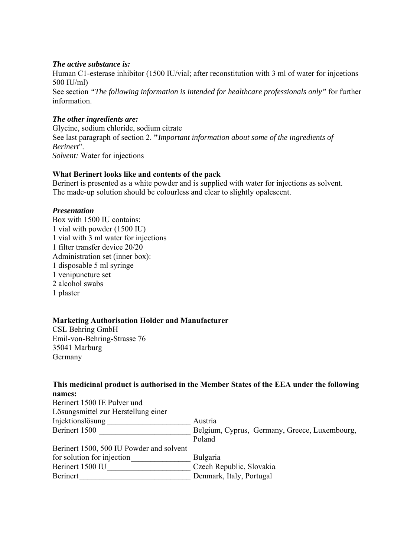#### *The active substance is:*

Human C1-esterase inhibitor (1500 IU/vial; after reconstitution with 3 ml of water for injcetions 500 IU/ml)

See section *"The following information is intended for healthcare professionals only"* for further information.

## *The other ingredients are:*

Glycine, sodium chloride, sodium citrate See last paragraph of section 2. **"***Important information about some of the ingredients of Berinert*". *Solvent:* Water for injections

## **What Berinert looks like and contents of the pack**

Berinert is presented as a white powder and is supplied with water for injections as solvent. The made-up solution should be colourless and clear to slightly opalescent.

#### *Presentation*

Box with 1500 IU contains: 1 vial with powder (1500 IU) 1 vial with 3 ml water for injections 1 filter transfer device 20/20 Administration set (inner box): 1 disposable 5 ml syringe 1 venipuncture set 2 alcohol swabs 1 plaster

## **Marketing Authorisation Holder and Manufacturer**

CSL Behring GmbH Emil-von-Behring-Strasse 76 35041 Marburg Germany

#### **This medicinal product is authorised in the Member States of the EEA under the following names:**   $\frac{1500 \text{ F}}{2}$  Pulver under under under under under under under under under under under under under under under under under under under under under under under under under under under under under under under under unde

| Berinert 1500 IE Pulver und              |                                               |
|------------------------------------------|-----------------------------------------------|
| Lösungsmittel zur Herstellung einer      |                                               |
| Injektionslösung                         | Austria                                       |
| Berinert 1500                            | Belgium, Cyprus, Germany, Greece, Luxembourg, |
|                                          | Poland                                        |
| Berinert 1500, 500 IU Powder and solvent |                                               |
| for solution for injection               | Bulgaria                                      |
| Berinert 1500 IU                         | Czech Republic, Slovakia                      |
| Berinert                                 | Denmark, Italy, Portugal                      |